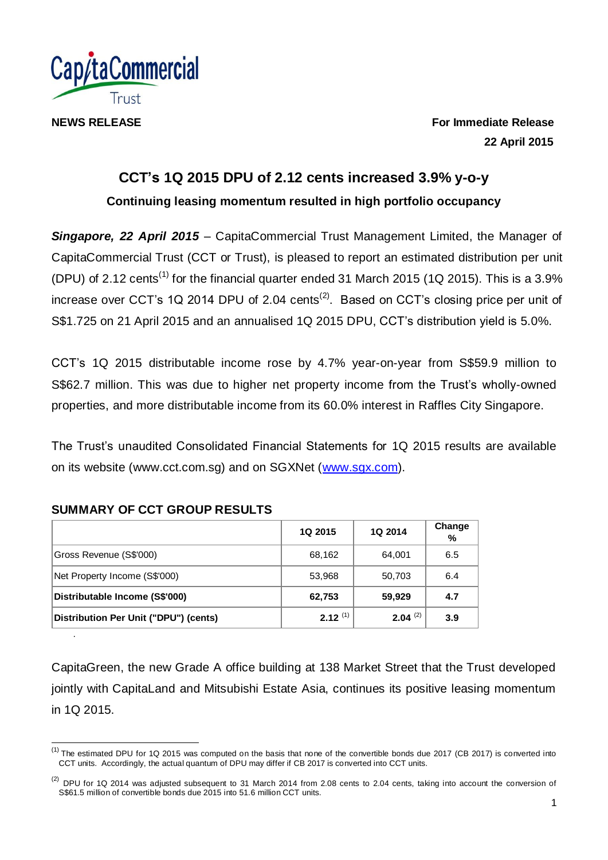

**NEWS RELEASE For Immediate Release 22 April 2015**

# **CCT's 1Q 2015 DPU of 2.12 cents increased 3.9% y-o-y Continuing leasing momentum resulted in high portfolio occupancy**

*Singapore, 22 April 2015* – CapitaCommercial Trust Management Limited, the Manager of CapitaCommercial Trust (CCT or Trust), is pleased to report an estimated distribution per unit (DPU) of 2.12 cents<sup>(1)</sup> for the financial quarter ended 31 March 2015 (1Q 2015). This is a 3.9% increase over CCT's 1Q 2014 DPU of 2.04 cents<sup>(2)</sup>. Based on CCT's closing price per unit of S\$1.725 on 21 April 2015 and an annualised 1Q 2015 DPU, CCT's distribution yield is 5.0%.

CCT's 1Q 2015 distributable income rose by 4.7% year-on-year from S\$59.9 million to S\$62.7 million. This was due to higher net property income from the Trust's wholly-owned properties, and more distributable income from its 60.0% interest in Raffles City Singapore.

The Trust's unaudited Consolidated Financial Statements for 1Q 2015 results are available on its website (www.cct.com.sg) and on SGXNet [\(www.sgx.com\)](http://www.sgx.com/).

|                                       | 1Q 2015      | 1Q 2014      | Change<br>% |
|---------------------------------------|--------------|--------------|-------------|
| Gross Revenue (S\$'000)               | 68,162       | 64,001       | 6.5         |
| Net Property Income (S\$'000)         | 53,968       | 50,703       | 6.4         |
| Distributable Income (S\$'000)        | 62,753       | 59,929       | 4.7         |
| Distribution Per Unit ("DPU") (cents) | $2.12^{(1)}$ | $2.04^{(2)}$ | 3.9         |

## **SUMMARY OF CCT GROUP RESULTS**

.

CapitaGreen, the new Grade A office building at 138 Market Street that the Trust developed jointly with CapitaLand and Mitsubishi Estate Asia, continues its positive leasing momentum in 1Q 2015.

<sup>(1)</sup> The estimated DPU for 1Q 2015 was computed on the basis that none of the convertible bonds due 2017 (CB 2017) is converted into CCT units. Accordingly, the actual quantum of DPU may differ if CB 2017 is converted into CCT units.

 $^{(2)}$  DPU for 1Q 2014 was adjusted subsequent to 31 March 2014 from 2.08 cents to 2.04 cents, taking into account the conversion of S\$61.5 million of convertible bonds due 2015 into 51.6 million CCT units.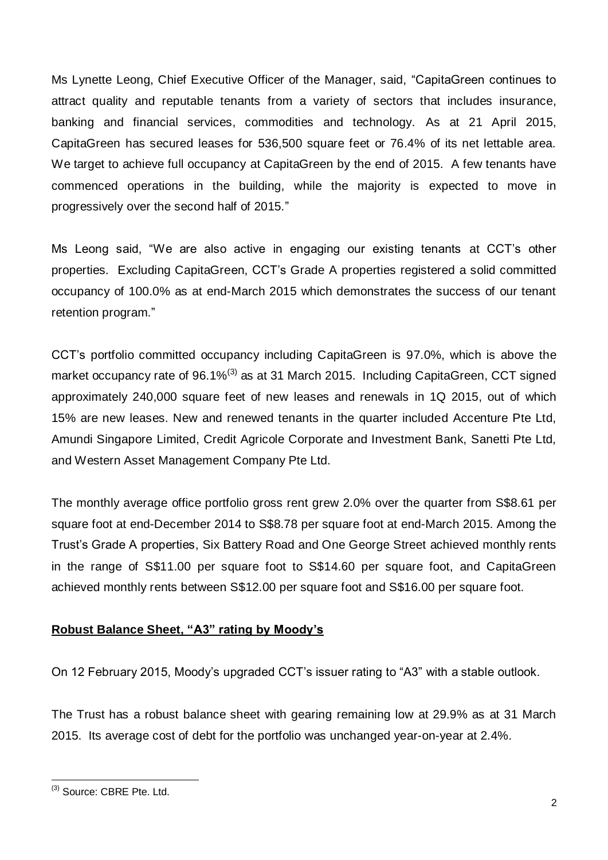Ms Lynette Leong, Chief Executive Officer of the Manager, said, "CapitaGreen continues to attract quality and reputable tenants from a variety of sectors that includes insurance, banking and financial services, commodities and technology. As at 21 April 2015, CapitaGreen has secured leases for 536,500 square feet or 76.4% of its net lettable area. We target to achieve full occupancy at CapitaGreen by the end of 2015. A few tenants have commenced operations in the building, while the majority is expected to move in progressively over the second half of 2015."

Ms Leong said, "We are also active in engaging our existing tenants at CCT's other properties. Excluding CapitaGreen, CCT's Grade A properties registered a solid committed occupancy of 100.0% as at end-March 2015 which demonstrates the success of our tenant retention program."

CCT's portfolio committed occupancy including CapitaGreen is 97.0%, which is above the market occupancy rate of 96.1%<sup>(3)</sup> as at 31 March 2015. Including CapitaGreen, CCT signed approximately 240,000 square feet of new leases and renewals in 1Q 2015, out of which 15% are new leases. New and renewed tenants in the quarter included Accenture Pte Ltd, Amundi Singapore Limited, Credit Agricole Corporate and Investment Bank, Sanetti Pte Ltd, and Western Asset Management Company Pte Ltd.

The monthly average office portfolio gross rent grew 2.0% over the quarter from S\$8.61 per square foot at end-December 2014 to S\$8.78 per square foot at end-March 2015. Among the Trust's Grade A properties, Six Battery Road and One George Street achieved monthly rents in the range of S\$11.00 per square foot to S\$14.60 per square foot, and CapitaGreen achieved monthly rents between S\$12.00 per square foot and S\$16.00 per square foot.

## **Robust Balance Sheet, "A3" rating by Moody's**

On 12 February 2015, Moody's upgraded CCT's issuer rating to "A3" with a stable outlook.

The Trust has a robust balance sheet with gearing remaining low at 29.9% as at 31 March 2015. Its average cost of debt for the portfolio was unchanged year-on-year at 2.4%.

 $\overline{1}$ <sup>(3)</sup> Source: CBRE Pte. Ltd.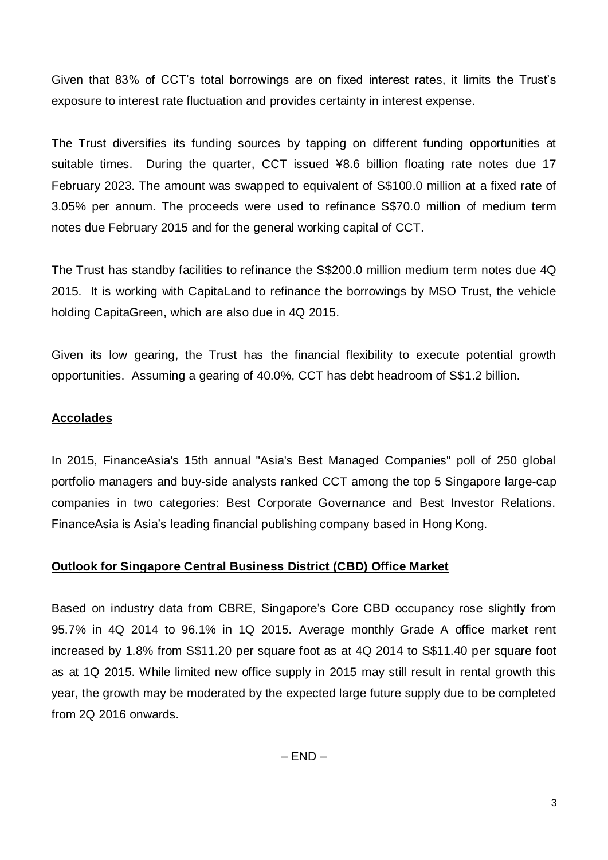Given that 83% of CCT's total borrowings are on fixed interest rates, it limits the Trust's exposure to interest rate fluctuation and provides certainty in interest expense.

The Trust diversifies its funding sources by tapping on different funding opportunities at suitable times. During the quarter, CCT issued ¥8.6 billion floating rate notes due 17 February 2023. The amount was swapped to equivalent of S\$100.0 million at a fixed rate of 3.05% per annum. The proceeds were used to refinance S\$70.0 million of medium term notes due February 2015 and for the general working capital of CCT.

The Trust has standby facilities to refinance the S\$200.0 million medium term notes due 4Q 2015. It is working with CapitaLand to refinance the borrowings by MSO Trust, the vehicle holding CapitaGreen, which are also due in 4Q 2015.

Given its low gearing, the Trust has the financial flexibility to execute potential growth opportunities. Assuming a gearing of 40.0%, CCT has debt headroom of S\$1.2 billion.

#### **Accolades**

In 2015, FinanceAsia's 15th annual "Asia's Best Managed Companies" poll of 250 global portfolio managers and buy-side analysts ranked CCT among the top 5 Singapore large-cap companies in two categories: Best Corporate Governance and Best Investor Relations. FinanceAsia is Asia's leading financial publishing company based in Hong Kong.

#### **Outlook for Singapore Central Business District (CBD) Office Market**

Based on industry data from CBRE, Singapore's Core CBD occupancy rose slightly from 95.7% in 4Q 2014 to 96.1% in 1Q 2015. Average monthly Grade A office market rent increased by 1.8% from S\$11.20 per square foot as at 4Q 2014 to S\$11.40 per square foot as at 1Q 2015. While limited new office supply in 2015 may still result in rental growth this year, the growth may be moderated by the expected large future supply due to be completed from 2Q 2016 onwards.